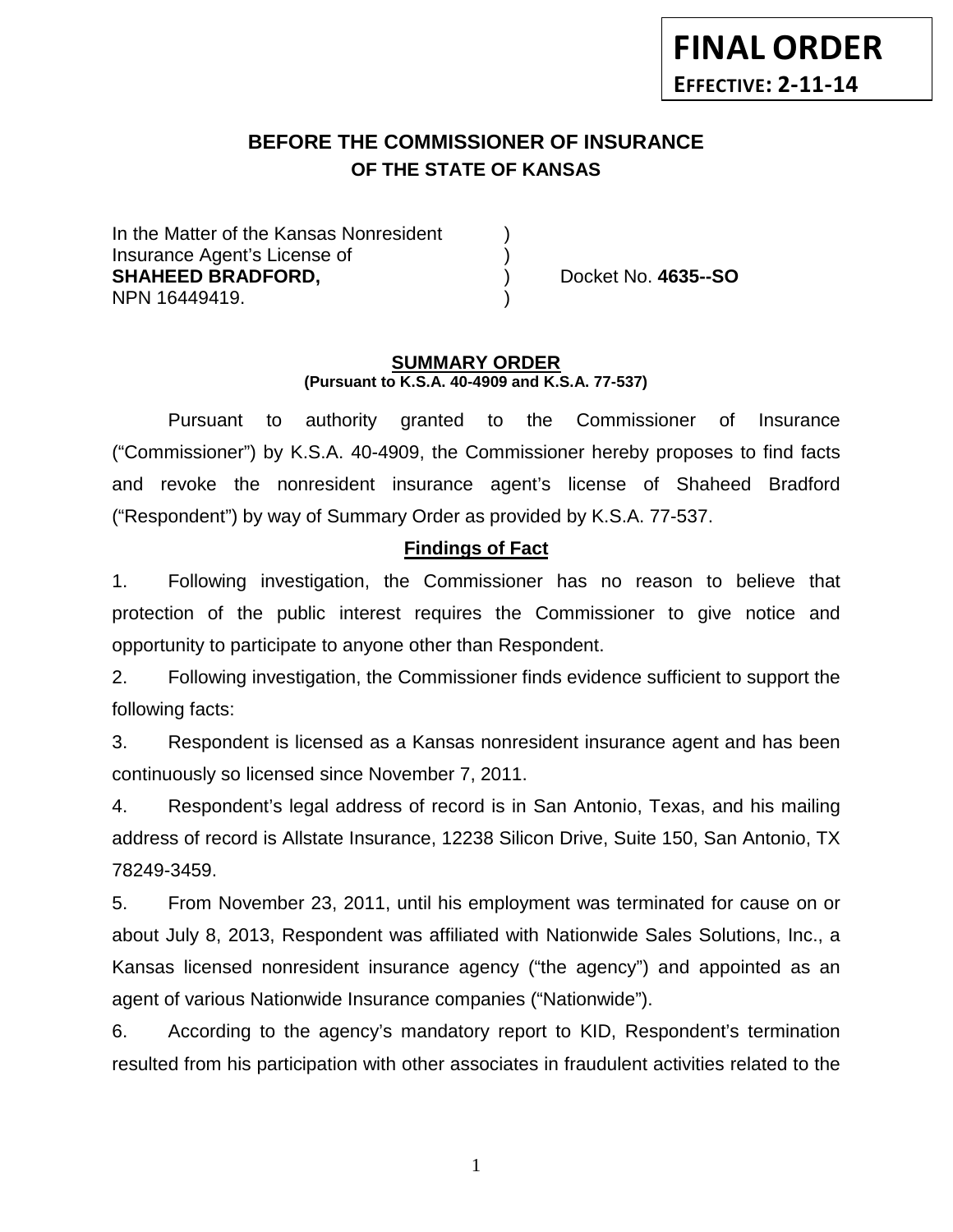# **BEFORE THE COMMISSIONER OF INSURANCE OF THE STATE OF KANSAS**

In the Matter of the Kansas Nonresident Insurance Agent's License of ) **SHAHEED BRADFORD,** ) Docket No. **4635--SO** NPN 16449419.

#### **SUMMARY ORDER (Pursuant to K.S.A. 40-4909 and K.S.A. 77-537)**

Pursuant to authority granted to the Commissioner of Insurance ("Commissioner") by K.S.A. 40-4909, the Commissioner hereby proposes to find facts and revoke the nonresident insurance agent's license of Shaheed Bradford ("Respondent") by way of Summary Order as provided by K.S.A. 77-537.

## **Findings of Fact**

1. Following investigation, the Commissioner has no reason to believe that protection of the public interest requires the Commissioner to give notice and opportunity to participate to anyone other than Respondent.

2. Following investigation, the Commissioner finds evidence sufficient to support the following facts:

3. Respondent is licensed as a Kansas nonresident insurance agent and has been continuously so licensed since November 7, 2011.

4. Respondent's legal address of record is in San Antonio, Texas, and his mailing address of record is Allstate Insurance, 12238 Silicon Drive, Suite 150, San Antonio, TX 78249-3459.

5. From November 23, 2011, until his employment was terminated for cause on or about July 8, 2013, Respondent was affiliated with Nationwide Sales Solutions, Inc., a Kansas licensed nonresident insurance agency ("the agency") and appointed as an agent of various Nationwide Insurance companies ("Nationwide").

6. According to the agency's mandatory report to KID, Respondent's termination resulted from his participation with other associates in fraudulent activities related to the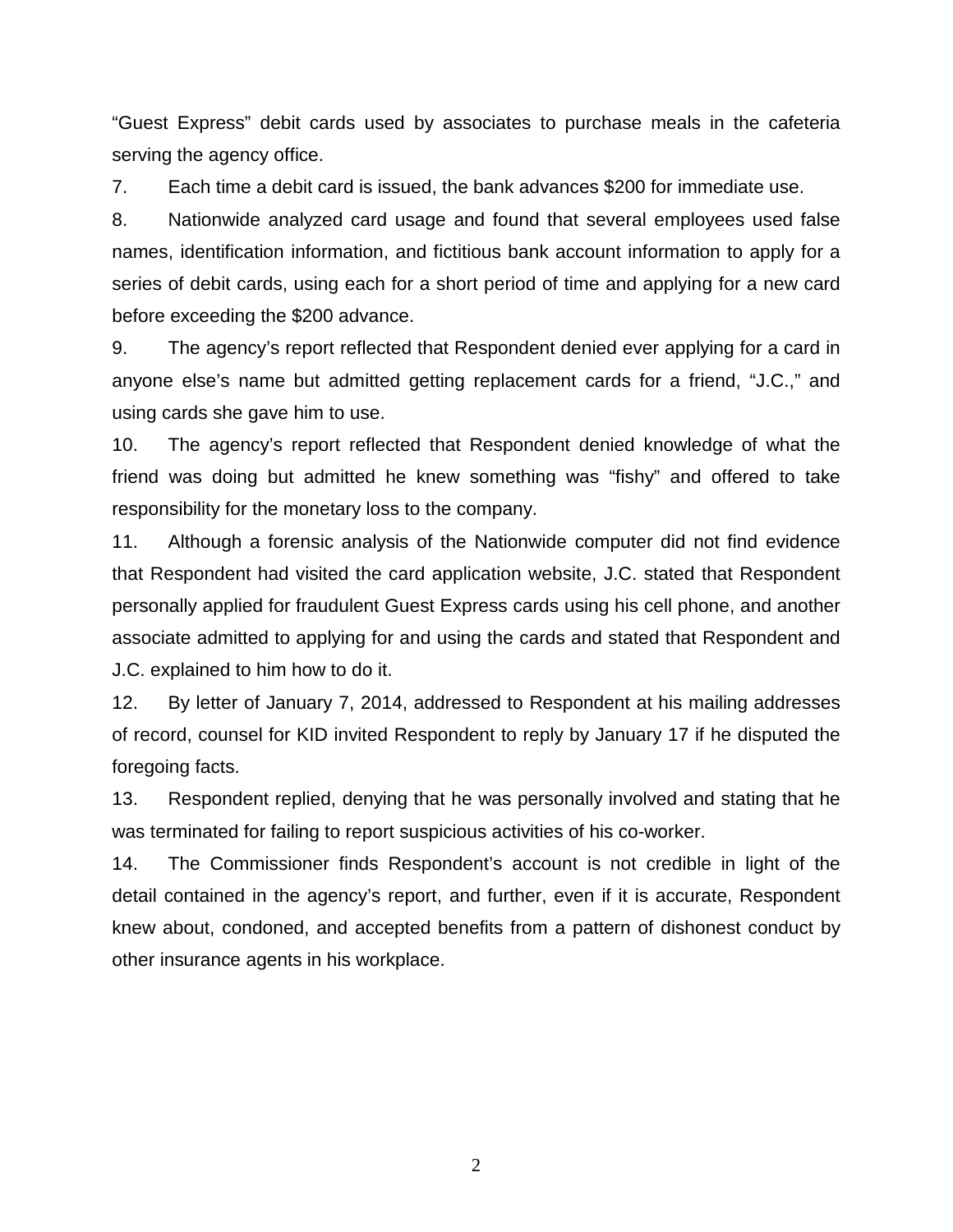"Guest Express" debit cards used by associates to purchase meals in the cafeteria serving the agency office.

7. Each time a debit card is issued, the bank advances \$200 for immediate use.

8. Nationwide analyzed card usage and found that several employees used false names, identification information, and fictitious bank account information to apply for a series of debit cards, using each for a short period of time and applying for a new card before exceeding the \$200 advance.

9. The agency's report reflected that Respondent denied ever applying for a card in anyone else's name but admitted getting replacement cards for a friend, "J.C.," and using cards she gave him to use.

10. The agency's report reflected that Respondent denied knowledge of what the friend was doing but admitted he knew something was "fishy" and offered to take responsibility for the monetary loss to the company.

11. Although a forensic analysis of the Nationwide computer did not find evidence that Respondent had visited the card application website, J.C. stated that Respondent personally applied for fraudulent Guest Express cards using his cell phone, and another associate admitted to applying for and using the cards and stated that Respondent and J.C. explained to him how to do it.

12. By letter of January 7, 2014, addressed to Respondent at his mailing addresses of record, counsel for KID invited Respondent to reply by January 17 if he disputed the foregoing facts.

13. Respondent replied, denying that he was personally involved and stating that he was terminated for failing to report suspicious activities of his co-worker.

14. The Commissioner finds Respondent's account is not credible in light of the detail contained in the agency's report, and further, even if it is accurate, Respondent knew about, condoned, and accepted benefits from a pattern of dishonest conduct by other insurance agents in his workplace.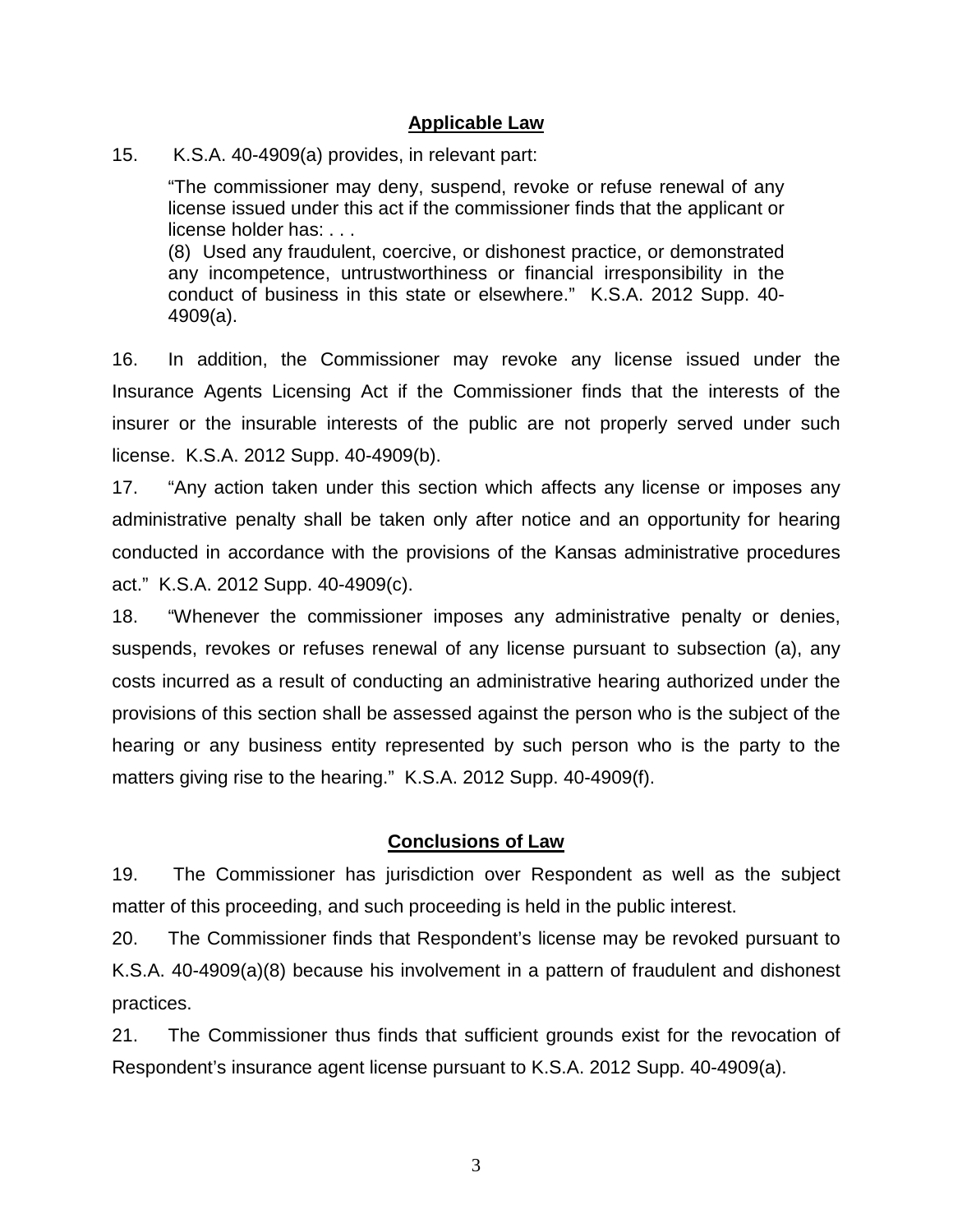#### **Applicable Law**

15. K.S.A. 40-4909(a) provides, in relevant part:

"The commissioner may deny, suspend, revoke or refuse renewal of any license issued under this act if the commissioner finds that the applicant or license holder has: . . .

(8) Used any fraudulent, coercive, or dishonest practice, or demonstrated any incompetence, untrustworthiness or financial irresponsibility in the conduct of business in this state or elsewhere." K.S.A. 2012 Supp. 40- 4909(a).

16. In addition, the Commissioner may revoke any license issued under the Insurance Agents Licensing Act if the Commissioner finds that the interests of the insurer or the insurable interests of the public are not properly served under such license. K.S.A. 2012 Supp. 40-4909(b).

17. "Any action taken under this section which affects any license or imposes any administrative penalty shall be taken only after notice and an opportunity for hearing conducted in accordance with the provisions of the Kansas administrative procedures act." K.S.A. 2012 Supp. 40-4909(c).

18. "Whenever the commissioner imposes any administrative penalty or denies, suspends, revokes or refuses renewal of any license pursuant to subsection (a), any costs incurred as a result of conducting an administrative hearing authorized under the provisions of this section shall be assessed against the person who is the subject of the hearing or any business entity represented by such person who is the party to the matters giving rise to the hearing." K.S.A. 2012 Supp. 40-4909(f).

#### **Conclusions of Law**

19. The Commissioner has jurisdiction over Respondent as well as the subject matter of this proceeding, and such proceeding is held in the public interest.

20. The Commissioner finds that Respondent's license may be revoked pursuant to K.S.A. 40-4909(a)(8) because his involvement in a pattern of fraudulent and dishonest practices.

21. The Commissioner thus finds that sufficient grounds exist for the revocation of Respondent's insurance agent license pursuant to K.S.A. 2012 Supp. 40-4909(a).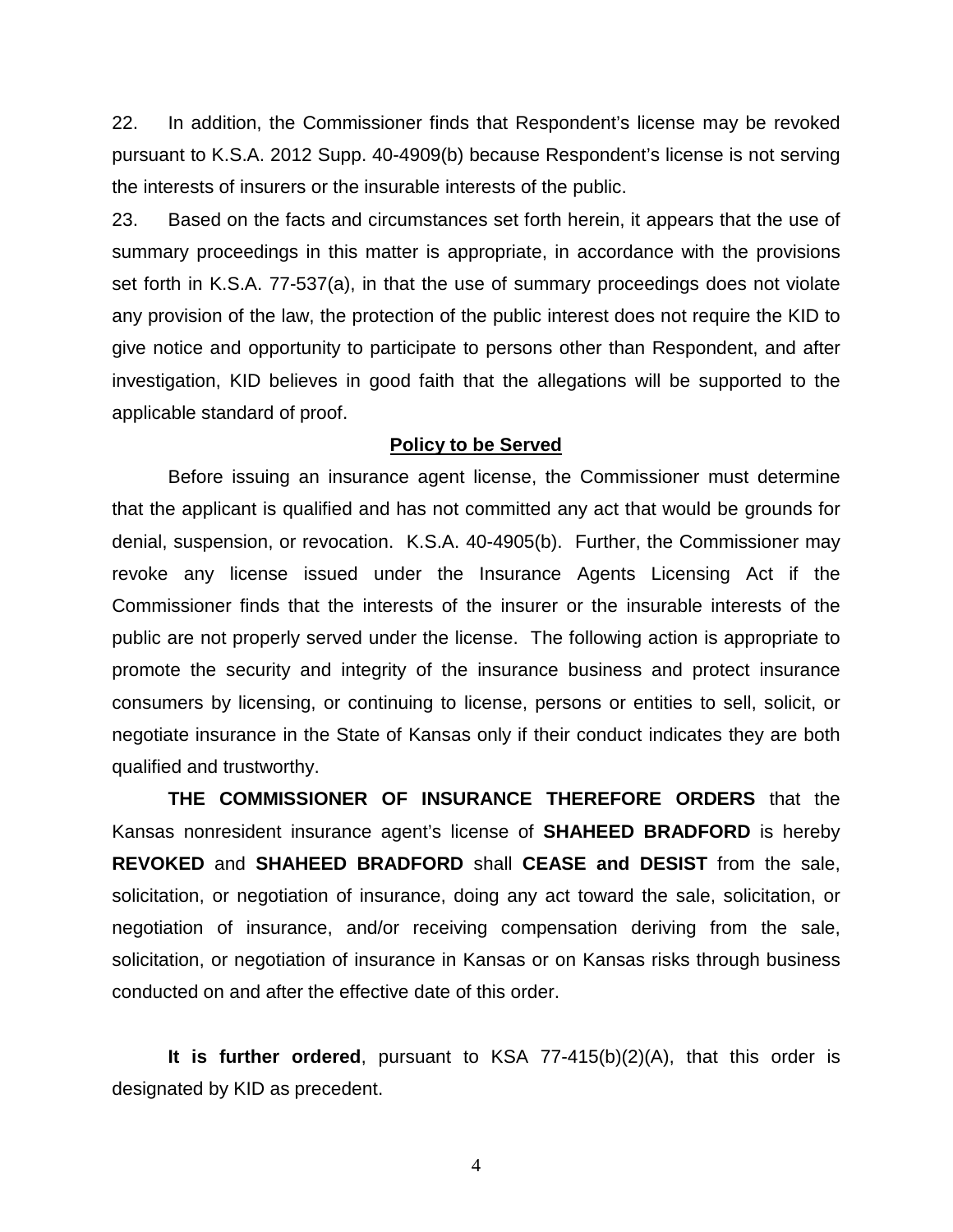22. In addition, the Commissioner finds that Respondent's license may be revoked pursuant to K.S.A. 2012 Supp. 40-4909(b) because Respondent's license is not serving the interests of insurers or the insurable interests of the public.

23. Based on the facts and circumstances set forth herein, it appears that the use of summary proceedings in this matter is appropriate, in accordance with the provisions set forth in K.S.A. 77-537(a), in that the use of summary proceedings does not violate any provision of the law, the protection of the public interest does not require the KID to give notice and opportunity to participate to persons other than Respondent, and after investigation, KID believes in good faith that the allegations will be supported to the applicable standard of proof.

#### **Policy to be Served**

Before issuing an insurance agent license, the Commissioner must determine that the applicant is qualified and has not committed any act that would be grounds for denial, suspension, or revocation. K.S.A. 40-4905(b). Further, the Commissioner may revoke any license issued under the Insurance Agents Licensing Act if the Commissioner finds that the interests of the insurer or the insurable interests of the public are not properly served under the license. The following action is appropriate to promote the security and integrity of the insurance business and protect insurance consumers by licensing, or continuing to license, persons or entities to sell, solicit, or negotiate insurance in the State of Kansas only if their conduct indicates they are both qualified and trustworthy.

**THE COMMISSIONER OF INSURANCE THEREFORE ORDERS** that the Kansas nonresident insurance agent's license of **SHAHEED BRADFORD** is hereby **REVOKED** and **SHAHEED BRADFORD** shall **CEASE and DESIST** from the sale, solicitation, or negotiation of insurance, doing any act toward the sale, solicitation, or negotiation of insurance, and/or receiving compensation deriving from the sale, solicitation, or negotiation of insurance in Kansas or on Kansas risks through business conducted on and after the effective date of this order.

**It is further ordered**, pursuant to KSA 77-415(b)(2)(A), that this order is designated by KID as precedent.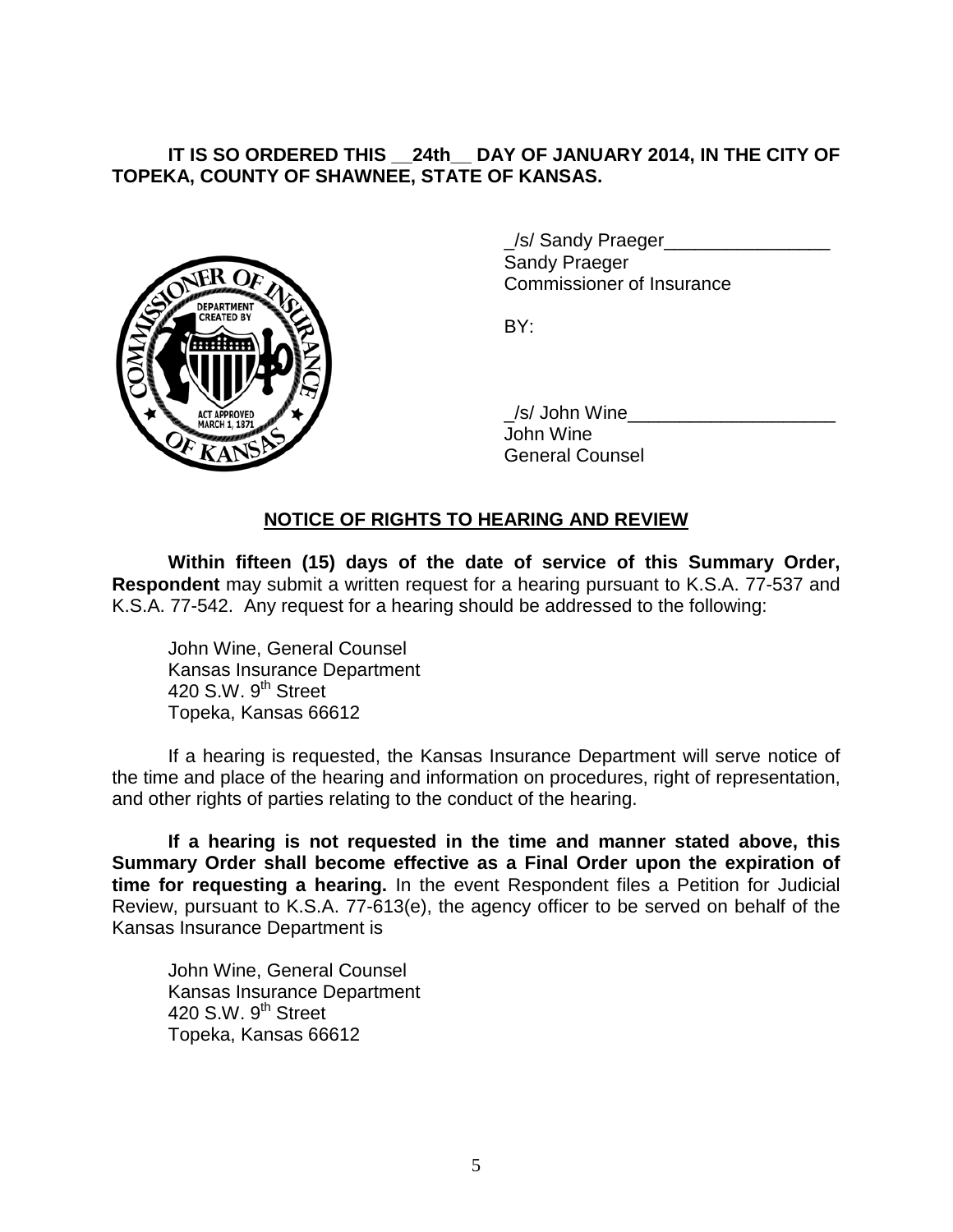## **IT IS SO ORDERED THIS \_\_24th\_\_ DAY OF JANUARY 2014, IN THE CITY OF TOPEKA, COUNTY OF SHAWNEE, STATE OF KANSAS.**



/s/ Sandy Praeger Sandy Praeger Commissioner of Insurance

BY:

/s/ John Wine John Wine General Counsel

# **NOTICE OF RIGHTS TO HEARING AND REVIEW**

**Within fifteen (15) days of the date of service of this Summary Order, Respondent** may submit a written request for a hearing pursuant to K.S.A. 77-537 and K.S.A. 77-542. Any request for a hearing should be addressed to the following:

John Wine, General Counsel Kansas Insurance Department 420 S.W. 9<sup>th</sup> Street Topeka, Kansas 66612

If a hearing is requested, the Kansas Insurance Department will serve notice of the time and place of the hearing and information on procedures, right of representation, and other rights of parties relating to the conduct of the hearing.

**If a hearing is not requested in the time and manner stated above, this Summary Order shall become effective as a Final Order upon the expiration of time for requesting a hearing.** In the event Respondent files a Petition for Judicial Review, pursuant to K.S.A. 77-613(e), the agency officer to be served on behalf of the Kansas Insurance Department is

John Wine, General Counsel Kansas Insurance Department 420 S.W.  $9<sup>th</sup>$  Street Topeka, Kansas 66612